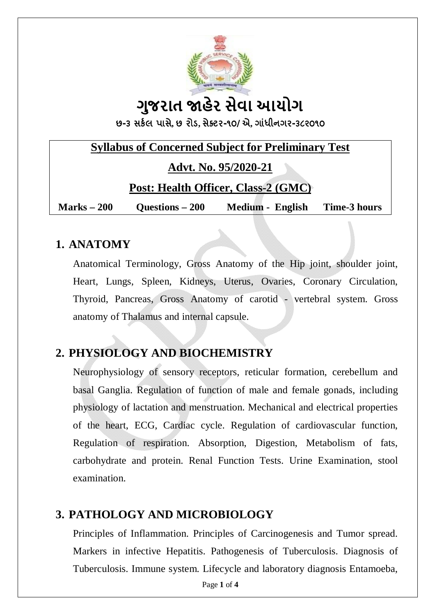

# **ગુજરાત ӽહેર સેવા આયોગ**

**છ-૩ સક½લ પાસે, છ રોડ, સેƈટર-૧૦/એ, ગાંધીનગર-૩૮૨૦૧૦**

### **Syllabus of Concerned Subject for Preliminary Test**

**Advt. No. 95/2020-21**

#### **Post: Health Officer, Class-2 (GMC)**

**Marks – 200 Questions – 200 Medium - English Time-3 hours**

#### **1. ANATOMY**

Anatomical Terminology, Gross Anatomy of the Hip joint, shoulder joint, Heart, Lungs, Spleen, Kidneys, Uterus, Ovaries, Coronary Circulation, Thyroid, Pancreas, Gross Anatomy of carotid - vertebral system. Gross anatomy of Thalamus and internal capsule.

## **2. PHYSIOLOGY AND BIOCHEMISTRY**

Neurophysiology of sensory receptors, reticular formation, cerebellum and basal Ganglia. Regulation of function of male and female gonads, including physiology of lactation and menstruation. Mechanical and electrical properties of the heart, ECG, Cardiac cycle. Regulation of cardiovascular function, Regulation of respiration. Absorption, Digestion, Metabolism of fats, carbohydrate and protein. Renal Function Tests. Urine Examination, stool examination.

## **3. PATHOLOGY AND MICROBIOLOGY**

Principles of Inflammation. Principles of Carcinogenesis and Tumor spread. Markers in infective Hepatitis. Pathogenesis of Tuberculosis. Diagnosis of Tuberculosis. Immune system. Lifecycle and laboratory diagnosis Entamoeba,

Page **1** of **4**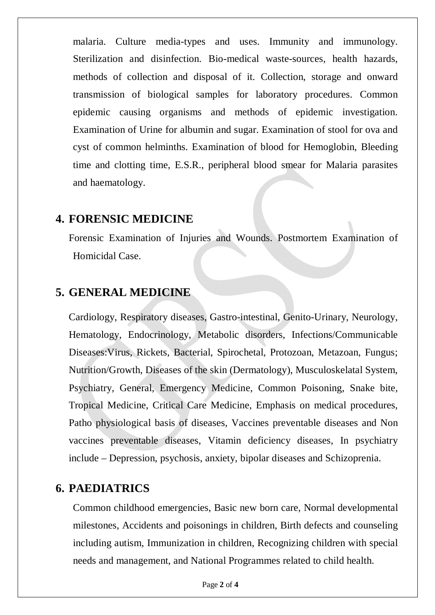malaria. Culture media-types and uses. Immunity and immunology. Sterilization and disinfection. Bio-medical waste-sources, health hazards, methods of collection and disposal of it. Collection, storage and onward transmission of biological samples for laboratory procedures. Common epidemic causing organisms and methods of epidemic investigation. Examination of Urine for albumin and sugar. Examination of stool for ova and cyst of common helminths. Examination of blood for Hemoglobin, Bleeding time and clotting time, E.S.R., peripheral blood smear for Malaria parasites and haematology.

#### **4. FORENSIC MEDICINE**

Forensic Examination of Injuries and Wounds. Postmortem Examination of Homicidal Case.

#### **5. GENERAL MEDICINE**

Cardiology, Respiratory diseases, Gastro-intestinal, Genito-Urinary, Neurology, Hematology, Endocrinology, Metabolic disorders, Infections/Communicable Diseases:Virus, Rickets, Bacterial, Spirochetal, Protozoan, Metazoan, Fungus; Nutrition/Growth, Diseases of the skin (Dermatology), Musculoskelatal System, Psychiatry, General, Emergency Medicine, Common Poisoning, Snake bite, Tropical Medicine, Critical Care Medicine, Emphasis on medical procedures, Patho physiological basis of diseases, Vaccines preventable diseases and Non vaccines preventable diseases, Vitamin deficiency diseases, In psychiatry include – Depression, psychosis, anxiety, bipolar diseases and Schizoprenia.

#### **6. PAEDIATRICS**

Common childhood emergencies, Basic new born care, Normal developmental milestones, Accidents and poisonings in children, Birth defects and counseling including autism, Immunization in children, Recognizing children with special needs and management, and National Programmes related to child health.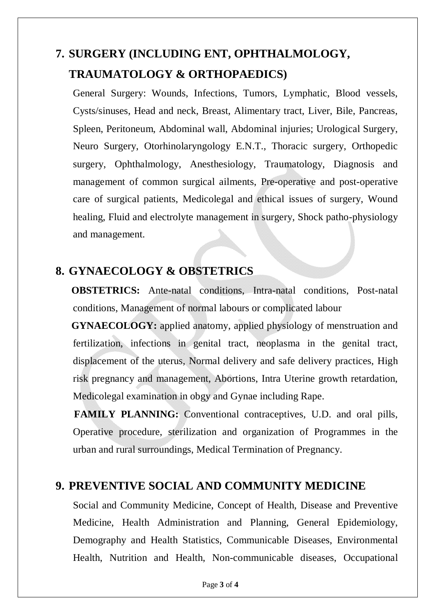## **7. SURGERY (INCLUDING ENT, OPHTHALMOLOGY, TRAUMATOLOGY & ORTHOPAEDICS)**

General Surgery: Wounds, Infections, Tumors, Lymphatic, Blood vessels, Cysts/sinuses, Head and neck, Breast, Alimentary tract, Liver, Bile, Pancreas, Spleen, Peritoneum, Abdominal wall, Abdominal injuries; Urological Surgery, Neuro Surgery, Otorhinolaryngology E.N.T., Thoracic surgery, Orthopedic surgery, Ophthalmology, Anesthesiology, Traumatology, Diagnosis and management of common surgical ailments, Pre-operative and post-operative care of surgical patients, Medicolegal and ethical issues of surgery, Wound healing, Fluid and electrolyte management in surgery, Shock patho-physiology and management.

## **8. GYNAECOLOGY & OBSTETRICS**

**OBSTETRICS:** Ante-natal conditions, Intra-natal conditions, Post-natal conditions, Management of normal labours or complicated labour

**GYNAECOLOGY:** applied anatomy, applied physiology of menstruation and fertilization, infections in genital tract, neoplasma in the genital tract, displacement of the uterus, Normal delivery and safe delivery practices, High risk pregnancy and management, Abortions, Intra Uterine growth retardation, Medicolegal examination in obgy and Gynae including Rape.

 **FAMILY PLANNING:** Conventional contraceptives, U.D. and oral pills, Operative procedure, sterilization and organization of Programmes in the urban and rural surroundings, Medical Termination of Pregnancy.

## **9. PREVENTIVE SOCIAL AND COMMUNITY MEDICINE**

Social and Community Medicine, Concept of Health, Disease and Preventive Medicine, Health Administration and Planning, General Epidemiology, Demography and Health Statistics, Communicable Diseases, Environmental Health, Nutrition and Health, Non-communicable diseases, Occupational